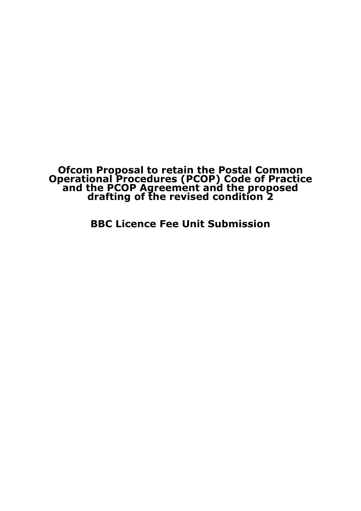## **Ofcom Proposal to retain the Postal Common Operational Procedures (PCOP) Code of Practice and the PCOP Agreement and the proposed drafting of the revised condition 2**

BBC Licence Fee Unit Submission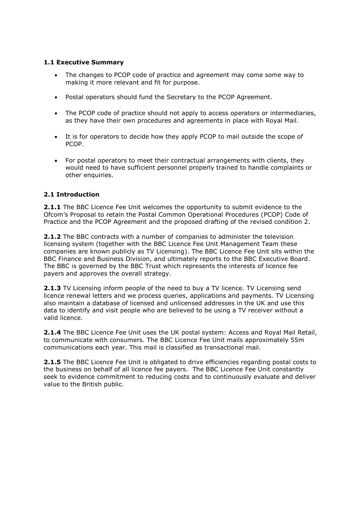## 1.1 Executive Summary

- The changes to PCOP code of practice and agreement may come some way to making it more relevant and fit for purpose.
- Postal operators should fund the Secretary to the PCOP Agreement.
- The PCOP code of practice should not apply to access operators or intermediaries, as they have their own procedures and agreements in place with Royal Mail.
- It is for operators to decide how they apply PCOP to mail outside the scope of PCOP.
- For postal operators to meet their contractual arrangements with clients, they would need to have sufficient personnel properly trained to handle complaints or other enquiries.

## 2.1 Introduction

**2.1.1** The BBC Licence Fee Unit welcomes the opportunity to submit evidence to the Ofcom's Proposal to retain the Postal Common Operational Procedures (PCOP) Code of Practice and the PCOP Agreement and the proposed drafting of the revised condition 2.

2.1.2 The BBC contracts with a number of companies to administer the television licensing system (together with the BBC Licence Fee Unit Management Team these companies are known publicly as TV Licensing). The BBC Licence Fee Unit sits within the BBC Finance and Business Division, and ultimately reports to the BBC Executive Board. The BBC is governed by the BBC Trust which represents the interests of licence fee payers and approves the overall strategy.

2.1.3 TV Licensing inform people of the need to buy a TV licence. TV Licensing send licence renewal letters and we process queries, applications and payments. TV Licensing also maintain a database of licensed and unlicensed addresses in the UK and use this data to identify and visit people who are believed to be using a TV receiver without a valid licence.

2.1.4 The BBC Licence Fee Unit uses the UK postal system: Access and Royal Mail Retail, to communicate with consumers. The BBC Licence Fee Unit mails approximately 55m communications each year. This mail is classified as transactional mail.

2.1.5 The BBC Licence Fee Unit is obligated to drive efficiencies regarding postal costs to the business on behalf of all licence fee payers. The BBC Licence Fee Unit constantly seek to evidence commitment to reducing costs and to continuously evaluate and deliver value to the British public.